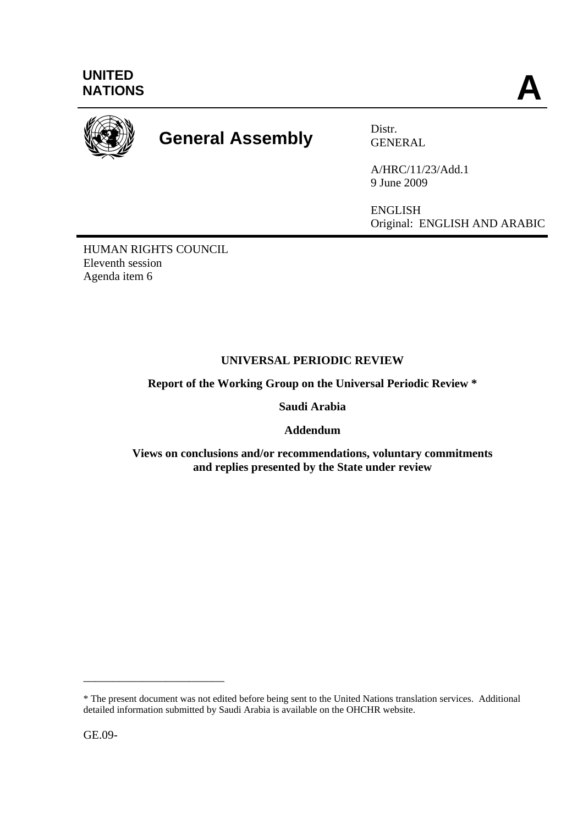

# **General Assembly** Distr.

GENERAL

A/HRC/11/23/Add.1 9 June 2009

ENGLISH Original: ENGLISH AND ARABIC

HUMAN RIGHTS COUNCIL Eleventh session Agenda item 6

# **UNIVERSAL PERIODIC REVIEW**

**Report of the Working Group on the Universal Periodic Review \*** 

**Saudi Arabia** 

**Addendum** 

**Views on conclusions and/or recommendations, voluntary commitments and replies presented by the State under review** 

GE.09-

\_\_\_\_\_\_\_\_\_\_\_\_\_\_\_\_\_\_\_\_\_\_\_\_

<sup>\*</sup> The present document was not edited before being sent to the United Nations translation services. Additional detailed information submitted by Saudi Arabia is available on the OHCHR website.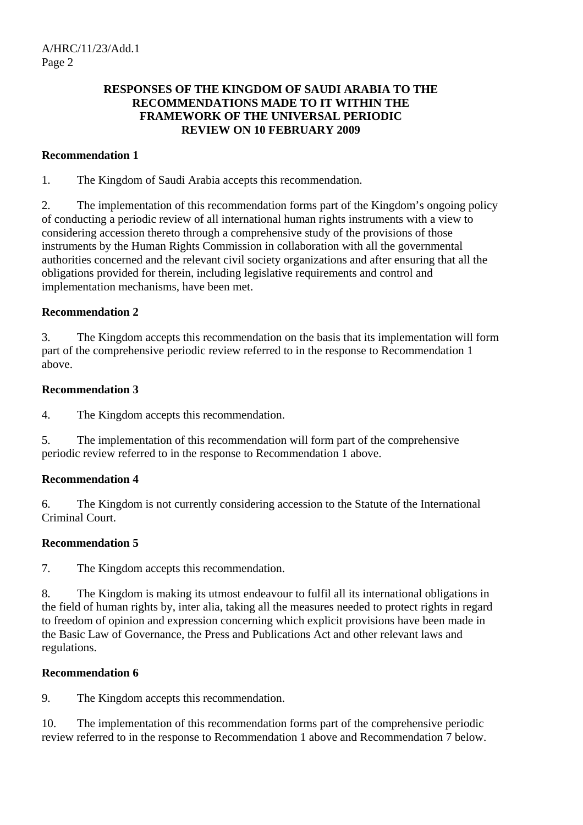## **RESPONSES OF THE KINGDOM OF SAUDI ARABIA TO THE RECOMMENDATIONS MADE TO IT WITHIN THE FRAMEWORK OF THE UNIVERSAL PERIODIC REVIEW ON 10 FEBRUARY 2009**

## **Recommendation 1**

1. The Kingdom of Saudi Arabia accepts this recommendation.

2. The implementation of this recommendation forms part of the Kingdom's ongoing policy of conducting a periodic review of all international human rights instruments with a view to considering accession thereto through a comprehensive study of the provisions of those instruments by the Human Rights Commission in collaboration with all the governmental authorities concerned and the relevant civil society organizations and after ensuring that all the obligations provided for therein, including legislative requirements and control and implementation mechanisms, have been met.

## **Recommendation 2**

3. The Kingdom accepts this recommendation on the basis that its implementation will form part of the comprehensive periodic review referred to in the response to Recommendation 1 above.

#### **Recommendation 3**

4. The Kingdom accepts this recommendation.

5. The implementation of this recommendation will form part of the comprehensive periodic review referred to in the response to Recommendation 1 above.

## **Recommendation 4**

6. The Kingdom is not currently considering accession to the Statute of the International Criminal Court.

## **Recommendation 5**

7. The Kingdom accepts this recommendation.

8. The Kingdom is making its utmost endeavour to fulfil all its international obligations in the field of human rights by, inter alia, taking all the measures needed to protect rights in regard to freedom of opinion and expression concerning which explicit provisions have been made in the Basic Law of Governance, the Press and Publications Act and other relevant laws and regulations.

## **Recommendation 6**

9. The Kingdom accepts this recommendation.

10. The implementation of this recommendation forms part of the comprehensive periodic review referred to in the response to Recommendation 1 above and Recommendation 7 below.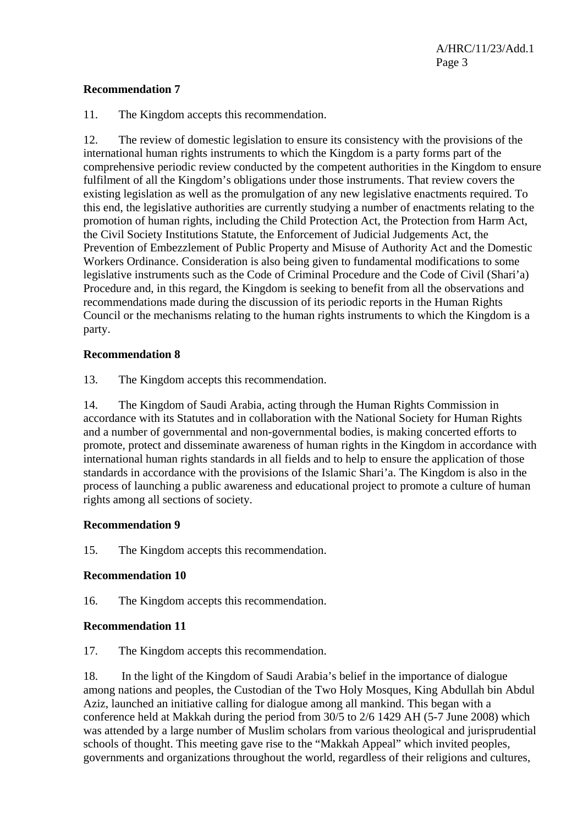#### **Recommendation 7**

11. The Kingdom accepts this recommendation.

12. The review of domestic legislation to ensure its consistency with the provisions of the international human rights instruments to which the Kingdom is a party forms part of the comprehensive periodic review conducted by the competent authorities in the Kingdom to ensure fulfilment of all the Kingdom's obligations under those instruments. That review covers the existing legislation as well as the promulgation of any new legislative enactments required. To this end, the legislative authorities are currently studying a number of enactments relating to the promotion of human rights, including the Child Protection Act, the Protection from Harm Act, the Civil Society Institutions Statute, the Enforcement of Judicial Judgements Act, the Prevention of Embezzlement of Public Property and Misuse of Authority Act and the Domestic Workers Ordinance. Consideration is also being given to fundamental modifications to some legislative instruments such as the Code of Criminal Procedure and the Code of Civil (Shari'a) Procedure and, in this regard, the Kingdom is seeking to benefit from all the observations and recommendations made during the discussion of its periodic reports in the Human Rights Council or the mechanisms relating to the human rights instruments to which the Kingdom is a party.

#### **Recommendation 8**

13. The Kingdom accepts this recommendation.

14. The Kingdom of Saudi Arabia, acting through the Human Rights Commission in accordance with its Statutes and in collaboration with the National Society for Human Rights and a number of governmental and non-governmental bodies, is making concerted efforts to promote, protect and disseminate awareness of human rights in the Kingdom in accordance with international human rights standards in all fields and to help to ensure the application of those standards in accordance with the provisions of the Islamic Shari'a. The Kingdom is also in the process of launching a public awareness and educational project to promote a culture of human rights among all sections of society.

#### **Recommendation 9**

15. The Kingdom accepts this recommendation.

## **Recommendation 10**

16. The Kingdom accepts this recommendation.

#### **Recommendation 11**

17. The Kingdom accepts this recommendation.

18. In the light of the Kingdom of Saudi Arabia's belief in the importance of dialogue among nations and peoples, the Custodian of the Two Holy Mosques, King Abdullah bin Abdul Aziz, launched an initiative calling for dialogue among all mankind. This began with a conference held at Makkah during the period from 30/5 to 2/6 1429 AH (5-7 June 2008) which was attended by a large number of Muslim scholars from various theological and jurisprudential schools of thought. This meeting gave rise to the "Makkah Appeal" which invited peoples, governments and organizations throughout the world, regardless of their religions and cultures,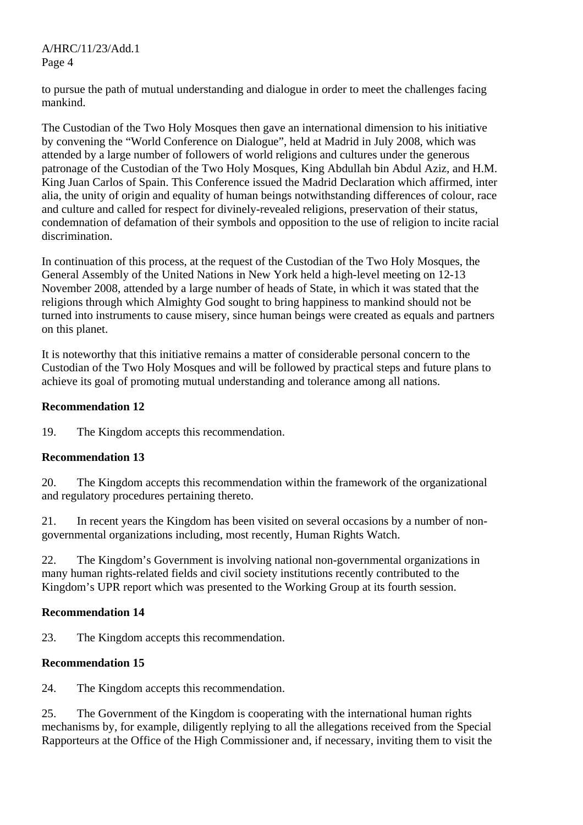to pursue the path of mutual understanding and dialogue in order to meet the challenges facing mankind.

The Custodian of the Two Holy Mosques then gave an international dimension to his initiative by convening the "World Conference on Dialogue", held at Madrid in July 2008, which was attended by a large number of followers of world religions and cultures under the generous patronage of the Custodian of the Two Holy Mosques, King Abdullah bin Abdul Aziz, and H.M. King Juan Carlos of Spain. This Conference issued the Madrid Declaration which affirmed, inter alia, the unity of origin and equality of human beings notwithstanding differences of colour, race and culture and called for respect for divinely-revealed religions, preservation of their status, condemnation of defamation of their symbols and opposition to the use of religion to incite racial discrimination.

In continuation of this process, at the request of the Custodian of the Two Holy Mosques, the General Assembly of the United Nations in New York held a high-level meeting on 12-13 November 2008, attended by a large number of heads of State, in which it was stated that the religions through which Almighty God sought to bring happiness to mankind should not be turned into instruments to cause misery, since human beings were created as equals and partners on this planet.

It is noteworthy that this initiative remains a matter of considerable personal concern to the Custodian of the Two Holy Mosques and will be followed by practical steps and future plans to achieve its goal of promoting mutual understanding and tolerance among all nations.

## **Recommendation 12**

19. The Kingdom accepts this recommendation.

## **Recommendation 13**

20. The Kingdom accepts this recommendation within the framework of the organizational and regulatory procedures pertaining thereto.

21. In recent years the Kingdom has been visited on several occasions by a number of nongovernmental organizations including, most recently, Human Rights Watch.

22. The Kingdom's Government is involving national non-governmental organizations in many human rights-related fields and civil society institutions recently contributed to the Kingdom's UPR report which was presented to the Working Group at its fourth session.

# **Recommendation 14**

23. The Kingdom accepts this recommendation.

# **Recommendation 15**

24. The Kingdom accepts this recommendation.

25. The Government of the Kingdom is cooperating with the international human rights mechanisms by, for example, diligently replying to all the allegations received from the Special Rapporteurs at the Office of the High Commissioner and, if necessary, inviting them to visit the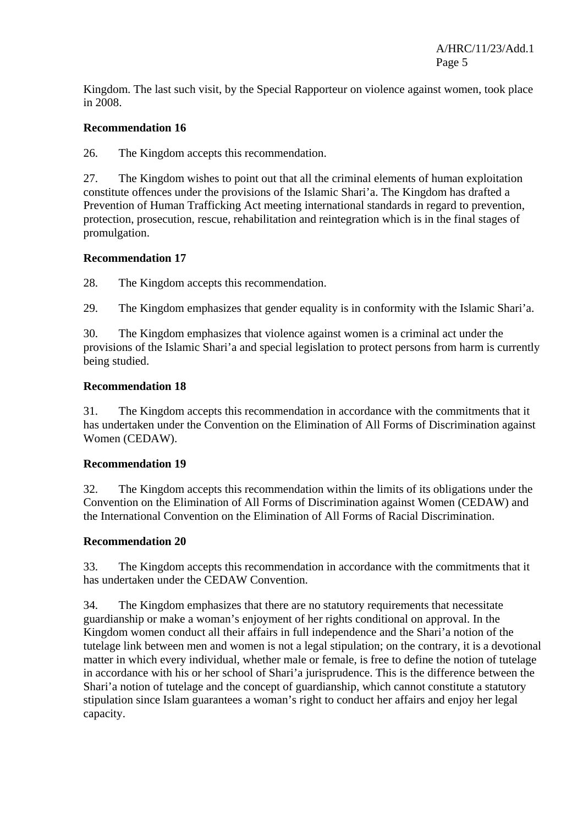Kingdom. The last such visit, by the Special Rapporteur on violence against women, took place in 2008.

#### **Recommendation 16**

26. The Kingdom accepts this recommendation.

27. The Kingdom wishes to point out that all the criminal elements of human exploitation constitute offences under the provisions of the Islamic Shari'a. The Kingdom has drafted a Prevention of Human Trafficking Act meeting international standards in regard to prevention, protection, prosecution, rescue, rehabilitation and reintegration which is in the final stages of promulgation.

#### **Recommendation 17**

28. The Kingdom accepts this recommendation.

29. The Kingdom emphasizes that gender equality is in conformity with the Islamic Shari'a.

30. The Kingdom emphasizes that violence against women is a criminal act under the provisions of the Islamic Shari'a and special legislation to protect persons from harm is currently being studied.

#### **Recommendation 18**

31. The Kingdom accepts this recommendation in accordance with the commitments that it has undertaken under the Convention on the Elimination of All Forms of Discrimination against Women (CEDAW).

#### **Recommendation 19**

32. The Kingdom accepts this recommendation within the limits of its obligations under the Convention on the Elimination of All Forms of Discrimination against Women (CEDAW) and the International Convention on the Elimination of All Forms of Racial Discrimination.

#### **Recommendation 20**

33. The Kingdom accepts this recommendation in accordance with the commitments that it has undertaken under the CEDAW Convention.

34. The Kingdom emphasizes that there are no statutory requirements that necessitate guardianship or make a woman's enjoyment of her rights conditional on approval. In the Kingdom women conduct all their affairs in full independence and the Shari'a notion of the tutelage link between men and women is not a legal stipulation; on the contrary, it is a devotional matter in which every individual, whether male or female, is free to define the notion of tutelage in accordance with his or her school of Shari'a jurisprudence. This is the difference between the Shari'a notion of tutelage and the concept of guardianship, which cannot constitute a statutory stipulation since Islam guarantees a woman's right to conduct her affairs and enjoy her legal capacity.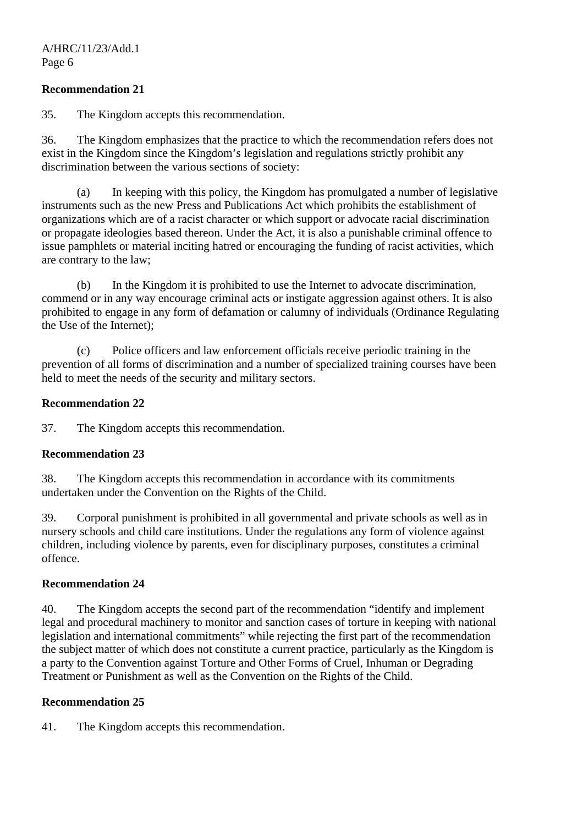#### **Recommendation 21**

35. The Kingdom accepts this recommendation.

36. The Kingdom emphasizes that the practice to which the recommendation refers does not exist in the Kingdom since the Kingdom's legislation and regulations strictly prohibit any discrimination between the various sections of society:

 (a) In keeping with this policy, the Kingdom has promulgated a number of legislative instruments such as the new Press and Publications Act which prohibits the establishment of organizations which are of a racist character or which support or advocate racial discrimination or propagate ideologies based thereon. Under the Act, it is also a punishable criminal offence to issue pamphlets or material inciting hatred or encouraging the funding of racist activities, which are contrary to the law;

 (b) In the Kingdom it is prohibited to use the Internet to advocate discrimination, commend or in any way encourage criminal acts or instigate aggression against others. It is also prohibited to engage in any form of defamation or calumny of individuals (Ordinance Regulating the Use of the Internet);

 (c) Police officers and law enforcement officials receive periodic training in the prevention of all forms of discrimination and a number of specialized training courses have been held to meet the needs of the security and military sectors.

#### **Recommendation 22**

37. The Kingdom accepts this recommendation.

#### **Recommendation 23**

38. The Kingdom accepts this recommendation in accordance with its commitments undertaken under the Convention on the Rights of the Child.

39. Corporal punishment is prohibited in all governmental and private schools as well as in nursery schools and child care institutions. Under the regulations any form of violence against children, including violence by parents, even for disciplinary purposes, constitutes a criminal offence.

#### **Recommendation 24**

40. The Kingdom accepts the second part of the recommendation "identify and implement legal and procedural machinery to monitor and sanction cases of torture in keeping with national legislation and international commitments" while rejecting the first part of the recommendation the subject matter of which does not constitute a current practice, particularly as the Kingdom is a party to the Convention against Torture and Other Forms of Cruel, Inhuman or Degrading Treatment or Punishment as well as the Convention on the Rights of the Child.

#### **Recommendation 25**

41. The Kingdom accepts this recommendation.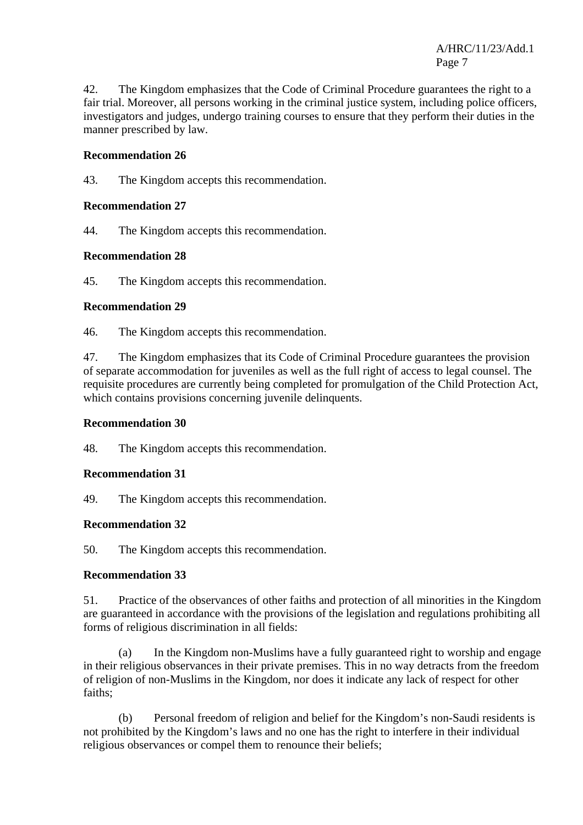42. The Kingdom emphasizes that the Code of Criminal Procedure guarantees the right to a fair trial. Moreover, all persons working in the criminal justice system, including police officers, investigators and judges, undergo training courses to ensure that they perform their duties in the manner prescribed by law.

## **Recommendation 26**

43. The Kingdom accepts this recommendation.

## **Recommendation 27**

44. The Kingdom accepts this recommendation.

## **Recommendation 28**

45. The Kingdom accepts this recommendation.

#### **Recommendation 29**

46. The Kingdom accepts this recommendation.

47. The Kingdom emphasizes that its Code of Criminal Procedure guarantees the provision of separate accommodation for juveniles as well as the full right of access to legal counsel. The requisite procedures are currently being completed for promulgation of the Child Protection Act, which contains provisions concerning juvenile delinquents.

## **Recommendation 30**

48. The Kingdom accepts this recommendation.

## **Recommendation 31**

49. The Kingdom accepts this recommendation.

## **Recommendation 32**

50. The Kingdom accepts this recommendation.

## **Recommendation 33**

51. Practice of the observances of other faiths and protection of all minorities in the Kingdom are guaranteed in accordance with the provisions of the legislation and regulations prohibiting all forms of religious discrimination in all fields:

 (a) In the Kingdom non-Muslims have a fully guaranteed right to worship and engage in their religious observances in their private premises. This in no way detracts from the freedom of religion of non-Muslims in the Kingdom, nor does it indicate any lack of respect for other faiths;

 (b) Personal freedom of religion and belief for the Kingdom's non-Saudi residents is not prohibited by the Kingdom's laws and no one has the right to interfere in their individual religious observances or compel them to renounce their beliefs;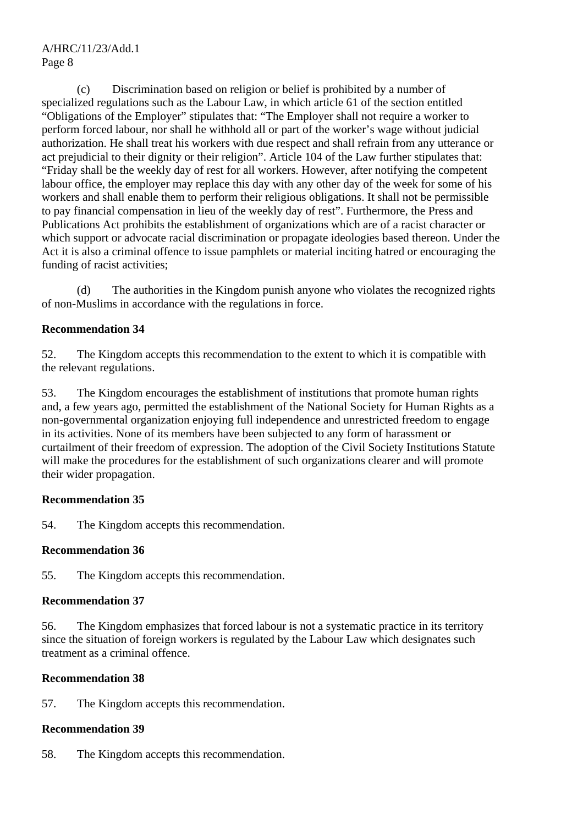(c) Discrimination based on religion or belief is prohibited by a number of specialized regulations such as the Labour Law, in which article 61 of the section entitled "Obligations of the Employer" stipulates that: "The Employer shall not require a worker to perform forced labour, nor shall he withhold all or part of the worker's wage without judicial authorization. He shall treat his workers with due respect and shall refrain from any utterance or act prejudicial to their dignity or their religion". Article 104 of the Law further stipulates that: "Friday shall be the weekly day of rest for all workers. However, after notifying the competent labour office, the employer may replace this day with any other day of the week for some of his workers and shall enable them to perform their religious obligations. It shall not be permissible to pay financial compensation in lieu of the weekly day of rest". Furthermore, the Press and Publications Act prohibits the establishment of organizations which are of a racist character or which support or advocate racial discrimination or propagate ideologies based thereon. Under the Act it is also a criminal offence to issue pamphlets or material inciting hatred or encouraging the funding of racist activities;

 (d) The authorities in the Kingdom punish anyone who violates the recognized rights of non-Muslims in accordance with the regulations in force.

## **Recommendation 34**

52. The Kingdom accepts this recommendation to the extent to which it is compatible with the relevant regulations.

53. The Kingdom encourages the establishment of institutions that promote human rights and, a few years ago, permitted the establishment of the National Society for Human Rights as a non-governmental organization enjoying full independence and unrestricted freedom to engage in its activities. None of its members have been subjected to any form of harassment or curtailment of their freedom of expression. The adoption of the Civil Society Institutions Statute will make the procedures for the establishment of such organizations clearer and will promote their wider propagation.

## **Recommendation 35**

54. The Kingdom accepts this recommendation.

## **Recommendation 36**

55. The Kingdom accepts this recommendation.

## **Recommendation 37**

56. The Kingdom emphasizes that forced labour is not a systematic practice in its territory since the situation of foreign workers is regulated by the Labour Law which designates such treatment as a criminal offence.

## **Recommendation 38**

57. The Kingdom accepts this recommendation.

# **Recommendation 39**

58. The Kingdom accepts this recommendation.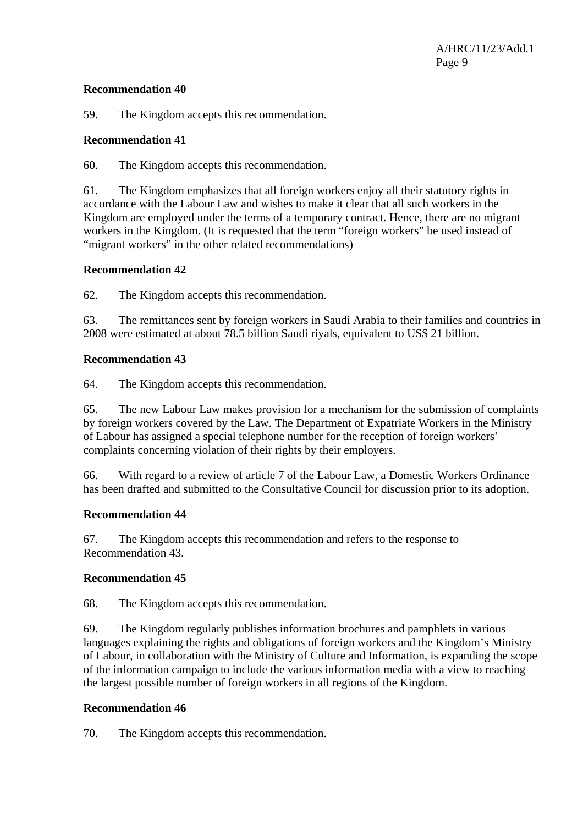#### **Recommendation 40**

59. The Kingdom accepts this recommendation.

#### **Recommendation 41**

60. The Kingdom accepts this recommendation.

61. The Kingdom emphasizes that all foreign workers enjoy all their statutory rights in accordance with the Labour Law and wishes to make it clear that all such workers in the Kingdom are employed under the terms of a temporary contract. Hence, there are no migrant workers in the Kingdom. (It is requested that the term "foreign workers" be used instead of "migrant workers" in the other related recommendations)

#### **Recommendation 42**

62. The Kingdom accepts this recommendation.

63. The remittances sent by foreign workers in Saudi Arabia to their families and countries in 2008 were estimated at about 78.5 billion Saudi riyals, equivalent to US\$ 21 billion.

#### **Recommendation 43**

64. The Kingdom accepts this recommendation.

65. The new Labour Law makes provision for a mechanism for the submission of complaints by foreign workers covered by the Law. The Department of Expatriate Workers in the Ministry of Labour has assigned a special telephone number for the reception of foreign workers' complaints concerning violation of their rights by their employers.

66. With regard to a review of article 7 of the Labour Law, a Domestic Workers Ordinance has been drafted and submitted to the Consultative Council for discussion prior to its adoption.

#### **Recommendation 44**

67. The Kingdom accepts this recommendation and refers to the response to Recommendation 43.

#### **Recommendation 45**

68. The Kingdom accepts this recommendation.

69. The Kingdom regularly publishes information brochures and pamphlets in various languages explaining the rights and obligations of foreign workers and the Kingdom's Ministry of Labour, in collaboration with the Ministry of Culture and Information, is expanding the scope of the information campaign to include the various information media with a view to reaching the largest possible number of foreign workers in all regions of the Kingdom.

#### **Recommendation 46**

70. The Kingdom accepts this recommendation.